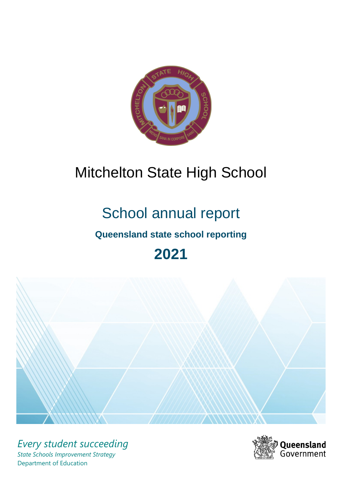

# Mitchelton State High School

# School annual report

# **Queensland state school reporting**

# **2021**



*Every student succeeding State Schools Improvement Strategy* Department of Education

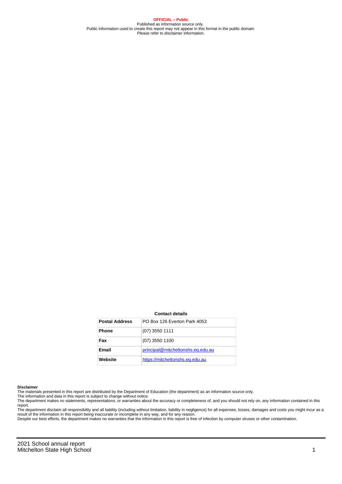**OFFICIAL – Public** Published as information source only. Public information used to create this report may not appear in this format in the public domain Please refer to disclaimer information.

#### **Contact details**

| <b>Postal Address</b> | PO Box 126 Everton Park 4053      |
|-----------------------|-----------------------------------|
| <b>Phone</b>          | $(07)$ 3550 1111                  |
| Fax                   | $(07)$ 3550 1100                  |
| Email                 | principal@mitcheltonshs.eq.edu.au |
| Website               | https://mitcheltonshs.eq.edu.au   |

#### **Disclaimer**

The materials presented in this report are distributed by the Department of Education (the department) as an information source only.

The information and data in this report is subject to change without notice.<br>The department makes no statements, representations, or warranties about the accuracy or completeness of, and you should not rely on, any informa report.

The department disclaim all responsibility and all liability (including without limitation, liability in negligence) for all expenses, losses, damages and costs you might incur as a result of the information in this report being inaccurate or incomplete in any way, and for any reason.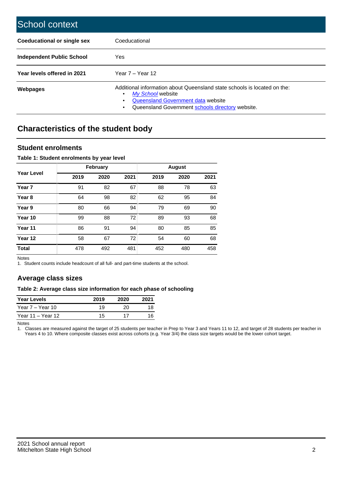| School context                     |                                                                                                                                                                                                   |
|------------------------------------|---------------------------------------------------------------------------------------------------------------------------------------------------------------------------------------------------|
| <b>Coeducational or single sex</b> | Coeducational                                                                                                                                                                                     |
| Independent Public School          | <b>Yes</b>                                                                                                                                                                                        |
| Year levels offered in 2021        | Year $7 -$ Year 12                                                                                                                                                                                |
| Webpages                           | Additional information about Queensland state schools is located on the:<br>My School website<br>٠<br>Queensland Government data website<br>Queensland Government schools directory website.<br>٠ |

# **Characteristics of the student body**

## **Student enrolments**

### **Table 1: Student enrolments by year level**

|                   |      | <b>February</b> |      |      |      |      |
|-------------------|------|-----------------|------|------|------|------|
| <b>Year Level</b> | 2019 | 2020            | 2021 | 2019 | 2020 | 2021 |
| Year <sub>7</sub> | 91   | 82              | 67   | 88   | 78   | 63   |
| Year <sub>8</sub> | 64   | 98              | 82   | 62   | 95   | 84   |
| Year 9            | 80   | 66              | 94   | 79   | 69   | 90   |
| Year 10           | 99   | 88              | 72   | 89   | 93   | 68   |
| Year 11           | 86   | 91              | 94   | 80   | 85   | 85   |
| Year 12           | 58   | 67              | 72   | 54   | 60   | 68   |
| <b>Total</b>      | 478  | 492             | 481  | 452  | 480  | 458  |

Notes

1. Student counts include headcount of all full- and part-time students at the school.

## **Average class sizes**

#### **Table 2: Average class size information for each phase of schooling**

| <b>Year Levels</b> | 2019 | 2020 | 2021 |
|--------------------|------|------|------|
| Year 7 – Year 10   | 19   | 20   | 18   |
| Year 11 – Year 12  | 15   | 17   | 16   |

Notes

1. Classes are measured against the target of 25 students per teacher in Prep to Year 3 and Years 11 to 12, and target of 28 students per teacher in Years 4 to 10. Where composite classes exist across cohorts (e.g. Year 3/4) the class size targets would be the lower cohort target.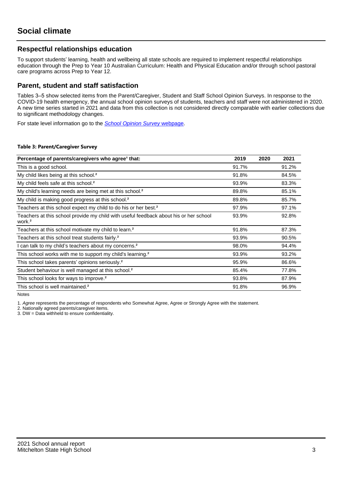## **Respectful relationships education**

To support students' learning, health and wellbeing all state schools are required to implement respectful relationships education through the Prep to Year 10 Australian Curriculum: Health and Physical Education and/or through school pastoral care programs across Prep to Year 12.

## **Parent, student and staff satisfaction**

Tables 3–5 show selected items from the Parent/Caregiver, Student and Staff School Opinion Surveys. In response to the COVID-19 health emergency, the annual school opinion surveys of students, teachers and staff were not administered in 2020. A new time series started in 2021 and data from this collection is not considered directly comparable with earlier collections due to significant methodology changes.

For state level information go to the **[School Opinion Survey](https://qed.qld.gov.au/publications/reports/statistics/schooling/schools/schoolopinionsurvey) webpage**.

#### **Table 3: Parent/Caregiver Survey**

| Percentage of parents/caregivers who agree <sup>1</sup> that:                                               | 2019  | 2020 | 2021  |
|-------------------------------------------------------------------------------------------------------------|-------|------|-------|
| This is a good school.                                                                                      | 91.7% |      | 91.2% |
| My child likes being at this school. <sup>2</sup>                                                           | 91.8% |      | 84.5% |
| My child feels safe at this school. <sup>2</sup>                                                            | 93.9% |      | 83.3% |
| My child's learning needs are being met at this school. <sup>2</sup>                                        | 89.8% |      | 85.1% |
| My child is making good progress at this school. <sup>2</sup>                                               | 89.8% |      | 85.7% |
| Teachers at this school expect my child to do his or her best. <sup>2</sup>                                 | 97.9% |      | 97.1% |
| Teachers at this school provide my child with useful feedback about his or her school<br>work. <sup>2</sup> | 93.9% |      | 92.8% |
| Teachers at this school motivate my child to learn. <sup>2</sup>                                            | 91.8% |      | 87.3% |
| Teachers at this school treat students fairly. <sup>2</sup>                                                 | 93.9% |      | 90.5% |
| can talk to my child's teachers about my concerns. <sup>2</sup>                                             | 98.0% |      | 94.4% |
| This school works with me to support my child's learning. <sup>2</sup>                                      | 93.9% |      | 93.2% |
| This school takes parents' opinions seriously. <sup>2</sup>                                                 | 95.9% |      | 86.6% |
| Student behaviour is well managed at this school. <sup>2</sup>                                              | 85.4% |      | 77.8% |
| This school looks for ways to improve. <sup>2</sup>                                                         | 93.8% |      | 87.9% |
| This school is well maintained. <sup>2</sup>                                                                | 91.8% |      | 96.9% |

Notes

1. Agree represents the percentage of respondents who Somewhat Agree, Agree or Strongly Agree with the statement.

2. Nationally agreed parents/caregiver items.

3. DW = Data withheld to ensure confidentiality.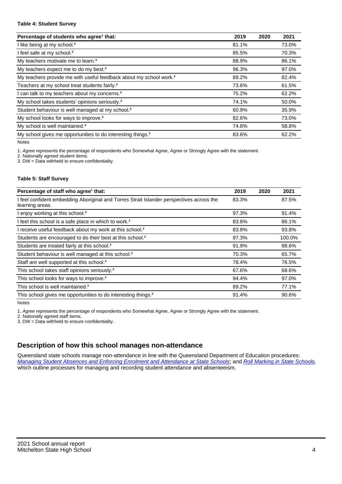#### **Table 4: Student Survey**

| Percentage of students who agree <sup>1</sup> that:                            | 2019  | 2020 | 2021  |
|--------------------------------------------------------------------------------|-------|------|-------|
| I like being at my school. <sup>2</sup>                                        | 81.1% |      | 73.0% |
| I feel safe at my school. <sup>2</sup>                                         | 85.5% |      | 70.3% |
| My teachers motivate me to learn. <sup>2</sup>                                 | 88.9% |      | 86.1% |
| My teachers expect me to do my best. <sup>2</sup>                              | 96.3% |      | 97.0% |
| My teachers provide me with useful feedback about my school work. <sup>2</sup> | 89.2% |      | 82.4% |
| Teachers at my school treat students fairly. <sup>2</sup>                      | 73.6% |      | 61.5% |
| I can talk to my teachers about my concerns. <sup>2</sup>                      | 75.2% |      | 62.2% |
| My school takes students' opinions seriously. <sup>2</sup>                     | 74.1% |      | 50.0% |
| Student behaviour is well managed at my school. <sup>2</sup>                   | 60.9% |      | 35.9% |
| My school looks for ways to improve. <sup>2</sup>                              | 82.6% |      | 73.0% |
| My school is well maintained. <sup>2</sup>                                     | 74.8% |      | 58.8% |
| My school gives me opportunities to do interesting things. <sup>2</sup>        | 83.6% |      | 62.2% |

Notes

1. Agree represents the percentage of respondents who Somewhat Agree, Agree or Strongly Agree with the statement.

2. Nationally agreed student items.

3. DW = Data withheld to ensure confidentiality.

#### **Table 5: Staff Survey**

| Percentage of staff who agree <sup>1</sup> that:                                                            | 2019  | 2020 | 2021   |
|-------------------------------------------------------------------------------------------------------------|-------|------|--------|
| I feel confident embedding Aboriginal and Torres Strait Islander perspectives across the<br>learning areas. | 83.3% |      | 87.5%  |
| I enjoy working at this school. <sup>2</sup>                                                                | 97.3% |      | 91.4%  |
| I feel this school is a safe place in which to work. <sup>2</sup>                                           | 83.8% |      | 86.1%  |
| I receive useful feedback about my work at this school. <sup>2</sup>                                        | 83.8% |      | 93.8%  |
| Students are encouraged to do their best at this school. <sup>2</sup>                                       | 97.3% |      | 100.0% |
| Students are treated fairly at this school. <sup>2</sup>                                                    | 91.9% |      | 88.6%  |
| Student behaviour is well managed at this school. <sup>2</sup>                                              | 70.3% |      | 65.7%  |
| Staff are well supported at this school. <sup>2</sup>                                                       | 78.4% |      | 76.5%  |
| This school takes staff opinions seriously. <sup>2</sup>                                                    | 67.6% |      | 68.6%  |
| This school looks for ways to improve. <sup>2</sup>                                                         | 94.4% |      | 97.0%  |
| This school is well maintained. <sup>2</sup>                                                                | 89.2% |      | 77.1%  |
| This school gives me opportunities to do interesting things. <sup>2</sup>                                   | 91.4% |      | 90.6%  |

Notes

1. Agree represents the percentage of respondents who Somewhat Agree, Agree or Strongly Agree with the statement.

2. Nationally agreed staff items.

3. DW = Data withheld to ensure confidentiality.

# **Description of how this school manages non-attendance**

Queensland state schools manage non-attendance in line with the Queensland Department of Education procedures: [Managing Student Absences and Enforcing Enrolment and Attendance at State Schools](https://ppr.qed.qld.gov.au/pp/managing-student-absences-and-enforcing-enrolment-and-attendance-at-state-schools-procedure); and [Roll Marking in State Schools,](https://ppr.qed.qld.gov.au/pp/roll-marking-in-state-schools-procedure) which outline processes for managing and recording student attendance and absenteeism.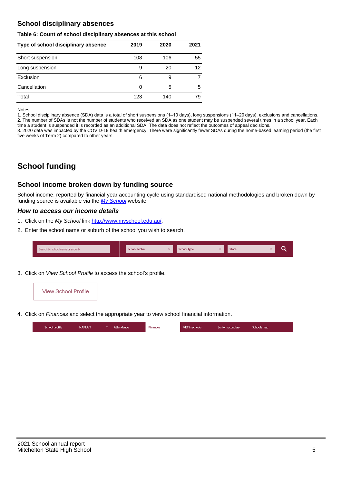# **School disciplinary absences**

#### **Table 6: Count of school disciplinary absences at this school**

| Type of school disciplinary absence | 2019 | 2020 | 2021 |
|-------------------------------------|------|------|------|
| Short suspension                    | 108  | 106  | 55   |
| Long suspension                     | 9    | 20   | 12   |
| Exclusion                           | 6    | 9    |      |
| Cancellation                        | 0    | 5    | 5    |
| Total                               | 123  | 140  | 79   |

Notes

1. School disciplinary absence (SDA) data is a total of short suspensions (1–10 days), long suspensions (11–20 days), exclusions and cancellations. 2. The number of SDAs is not the number of students who received an SDA as one student may be suspended several times in a school year. Each time a student is suspended it is recorded as an additional SDA. The data does not reflect the outcomes of appeal decisions.

3. 2020 data was impacted by the COVID-19 health emergency. There were significantly fewer SDAs during the home-based learning period (the first five weeks of Term 2) compared to other years.

# **School funding**

## **School income broken down by funding source**

School income, reported by financial year accounting cycle using standardised national methodologies and broken down by funding source is available via the [My School](http://www.myschool.edu.au/) website.

## **How to access our income details**

- 1. Click on the My School link <http://www.myschool.edu.au/>.
- 2. Enter the school name or suburb of the school you wish to search.

| Search by school name or suburb | <b>School sector</b> | School type | <b>State</b> |  |
|---------------------------------|----------------------|-------------|--------------|--|
|                                 |                      |             |              |  |

3. Click on View School Profile to access the school's profile.



4. Click on Finances and select the appropriate year to view school financial information.

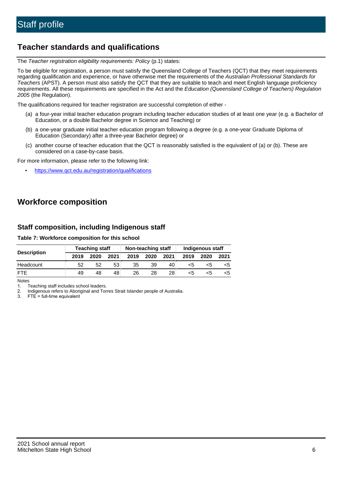# **Teacher standards and qualifications**

The Teacher registration eligibility requirements: Policy (p.1) states:

To be eligible for registration, a person must satisfy the Queensland College of Teachers (QCT) that they meet requirements regarding qualification and experience, or have otherwise met the requirements of the Australian Professional Standards for Teachers (APST). A person must also satisfy the QCT that they are suitable to teach and meet English language proficiency requirements. All these requirements are specified in the Act and the Education (Queensland College of Teachers) Regulation 2005 (the Regulation).

The qualifications required for teacher registration are successful completion of either -

- (a) a four-year initial teacher education program including teacher education studies of at least one year (e.g. a Bachelor of Education, or a double Bachelor degree in Science and Teaching) or
- (b) a one-year graduate initial teacher education program following a degree (e.g. a one-year Graduate Diploma of Education (Secondary) after a three-year Bachelor degree) or
- (c) another course of teacher education that the QCT is reasonably satisfied is the equivalent of (a) or (b). These are considered on a case-by-case basis.

For more information, please refer to the following link:

• <https://www.qct.edu.au/registration/qualifications>

# **Workforce composition**

## **Staff composition, including Indigenous staff**

### **Table 7: Workforce composition for this school**

|                    | <b>Teaching staff</b> |      |      | Non-teaching staff |      |      | Indigenous staff |      |      |
|--------------------|-----------------------|------|------|--------------------|------|------|------------------|------|------|
| <b>Description</b> | 2019                  | 2020 | 2021 | 2019               | 2020 | 2021 | 2019             | 2020 | 2021 |
| Headcount          | 52                    | 52   | 53   | 35                 | 39   | 40   | <5               | <5   |      |
| <b>FTF</b>         | 49                    | 48   | 48   | 26                 | 28   | 28   | <5               | ה>   |      |

Notes

1. Teaching staff includes school leaders.

2. Indigenous refers to Aboriginal and Torres Strait Islander people of Australia.

3. FTE = full-time equivalent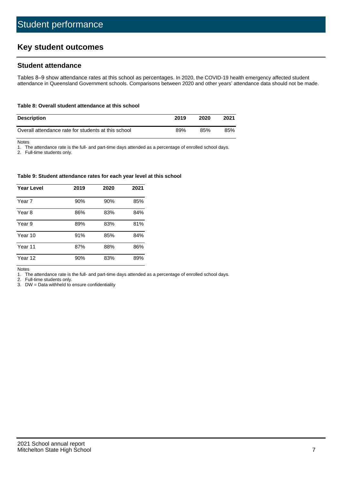# **Key student outcomes**

## **Student attendance**

Tables 8–9 show attendance rates at this school as percentages. In 2020, the COVID-19 health emergency affected student attendance in Queensland Government schools. Comparisons between 2020 and other years' attendance data should not be made.

#### **Table 8: Overall student attendance at this school**

| <b>Description</b>                                  | 2019 | 2020 | 2021 |
|-----------------------------------------------------|------|------|------|
| Overall attendance rate for students at this school | 89%  | 85%  | 85%  |

Notes

1. The attendance rate is the full- and part-time days attended as a percentage of enrolled school days.

2. Full-time students only.

#### **Table 9: Student attendance rates for each year level at this school**

| <b>Year Level</b> | 2019 | 2020 | 2021 |
|-------------------|------|------|------|
| Year 7            | 90%  | 90%  | 85%  |
| Year 8            | 86%  | 83%  | 84%  |
| Year 9            | 89%  | 83%  | 81%  |
| Year 10           | 91%  | 85%  | 84%  |
| Year 11           | 87%  | 88%  | 86%  |
| Year 12           | 90%  | 83%  | 89%  |

Notes

1. The attendance rate is the full- and part-time days attended as a percentage of enrolled school days.

2. Full-time students only.

3. DW = Data withheld to ensure confidentiality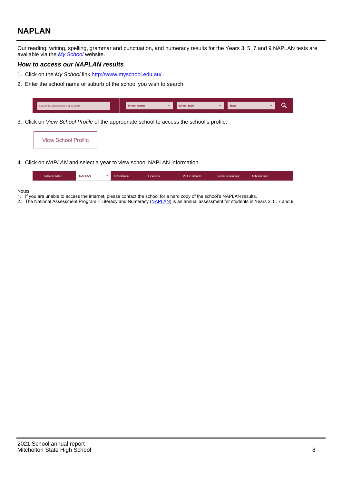# **NAPLAN**

Our reading, writing, spelling, grammar and punctuation, and numeracy results for the Years 3, 5, 7 and 9 NAPLAN tests are available via the [My School](http://www.myschool.edu.au/) website.

### **How to access our NAPLAN results**

- 1. Click on the My School link <http://www.myschool.edu.au/>.
- 2. Enter the school name or suburb of the school you wish to search.

| Search by school name or suburb | <b>School sector</b> | <b>School type</b>                        |          | <b>State</b> |  |
|---------------------------------|----------------------|-------------------------------------------|----------|--------------|--|
|                                 |                      |                                           |          |              |  |
|                                 |                      | $\sim$ $\sim$ $\sim$ $\sim$ $\sim$ $\sim$ | $\cdots$ |              |  |

3. Click on View School Profile of the appropriate school to access the school's profile.

| <b>View School Profile</b> |
|----------------------------|
|----------------------------|

4. Click on NAPLAN and select a year to view school NAPLAN information.

|  | School profile | <b>NAPLAN</b><br>$\sim$ 1 | Attendance | <b>Finances</b> | <b>VET</b> in schools | Senior secondary | Schools map |
|--|----------------|---------------------------|------------|-----------------|-----------------------|------------------|-------------|
|--|----------------|---------------------------|------------|-----------------|-----------------------|------------------|-------------|

#### Notes

- 1. If you are unable to access the internet, please contact the school for a hard copy of the school's NAPLAN results.
- 2. The National Assessment Program Literacy and Numeracy ([NAPLAN\)](http://www.nap.edu.au/naplan) is an annual assessment for students in Years 3, 5, 7 and 9.